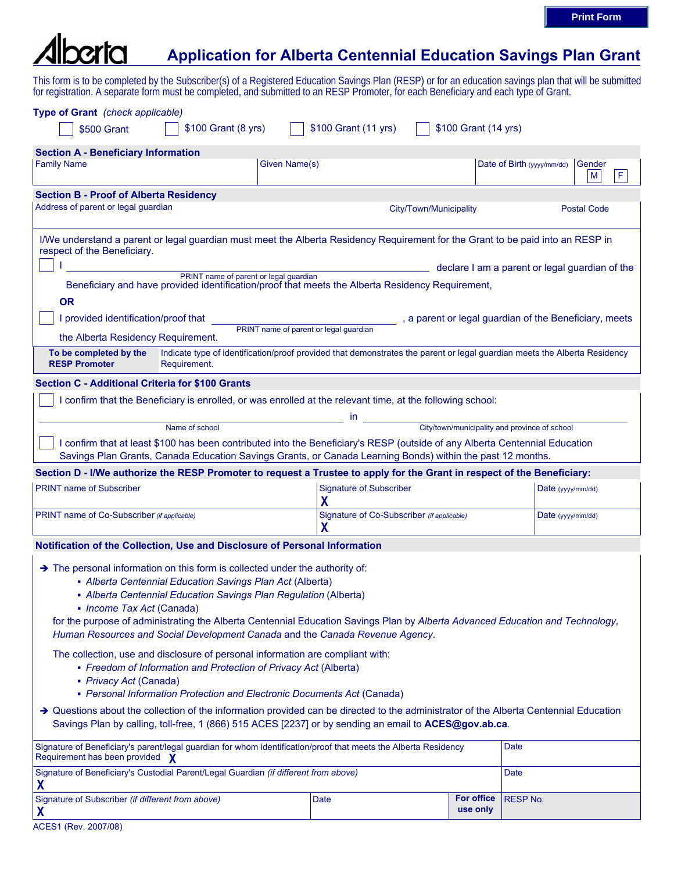## $r$ **Application for Alberta Centennial Education Savings Plan Grant**

This form is to be completed by the Subscriber(s) of a Registered Education Savings Plan (RESP) or for an education savings plan that will be submitted for registration. A separate form must be completed, and submitted to an RESP Promoter, for each Beneficiary and each type of Grant.

| Type of Grant (check applicable)<br>\$500 Grant                                                                                                                                                                                                                                                                                                                                                                                                                                                                                                                                                                                                                                                                                                                                                                                                                             | \$100 Grant (8 yrs) | \$100 Grant (11 yrs)                | \$100 Grant (14 yrs)                          |                                                |
|-----------------------------------------------------------------------------------------------------------------------------------------------------------------------------------------------------------------------------------------------------------------------------------------------------------------------------------------------------------------------------------------------------------------------------------------------------------------------------------------------------------------------------------------------------------------------------------------------------------------------------------------------------------------------------------------------------------------------------------------------------------------------------------------------------------------------------------------------------------------------------|---------------------|-------------------------------------|-----------------------------------------------|------------------------------------------------|
| <b>Section A - Beneficiary Information</b>                                                                                                                                                                                                                                                                                                                                                                                                                                                                                                                                                                                                                                                                                                                                                                                                                                  |                     |                                     |                                               |                                                |
| <b>Family Name</b>                                                                                                                                                                                                                                                                                                                                                                                                                                                                                                                                                                                                                                                                                                                                                                                                                                                          |                     | Given Name(s)                       |                                               | Date of Birth (yyyy/mm/dd)<br>Gender<br>F<br>M |
| <b>Section B - Proof of Alberta Residency</b>                                                                                                                                                                                                                                                                                                                                                                                                                                                                                                                                                                                                                                                                                                                                                                                                                               |                     |                                     |                                               |                                                |
| Address of parent or legal guardian                                                                                                                                                                                                                                                                                                                                                                                                                                                                                                                                                                                                                                                                                                                                                                                                                                         |                     |                                     | City/Town/Municipality                        | <b>Postal Code</b>                             |
| I/We understand a parent or legal guardian must meet the Alberta Residency Requirement for the Grant to be paid into an RESP in<br>respect of the Beneficiary.                                                                                                                                                                                                                                                                                                                                                                                                                                                                                                                                                                                                                                                                                                              |                     |                                     |                                               |                                                |
| declare I am a parent or legal guardian of the<br>PRINT name of parent or legal guardian                                                                                                                                                                                                                                                                                                                                                                                                                                                                                                                                                                                                                                                                                                                                                                                    |                     |                                     |                                               |                                                |
| Beneficiary and have provided identification/proof that meets the Alberta Residency Requirement,                                                                                                                                                                                                                                                                                                                                                                                                                                                                                                                                                                                                                                                                                                                                                                            |                     |                                     |                                               |                                                |
| <b>OR</b>                                                                                                                                                                                                                                                                                                                                                                                                                                                                                                                                                                                                                                                                                                                                                                                                                                                                   |                     |                                     |                                               |                                                |
| I provided identification/proof that<br>, a parent or legal guardian of the Beneficiary, meets<br>PRINT name of parent or legal guardian                                                                                                                                                                                                                                                                                                                                                                                                                                                                                                                                                                                                                                                                                                                                    |                     |                                     |                                               |                                                |
| the Alberta Residency Requirement.                                                                                                                                                                                                                                                                                                                                                                                                                                                                                                                                                                                                                                                                                                                                                                                                                                          |                     |                                     |                                               |                                                |
| To be completed by the<br>Indicate type of identification/proof provided that demonstrates the parent or legal guardian meets the Alberta Residency<br><b>RESP Promoter</b><br>Requirement.                                                                                                                                                                                                                                                                                                                                                                                                                                                                                                                                                                                                                                                                                 |                     |                                     |                                               |                                                |
| <b>Section C - Additional Criteria for \$100 Grants</b>                                                                                                                                                                                                                                                                                                                                                                                                                                                                                                                                                                                                                                                                                                                                                                                                                     |                     |                                     |                                               |                                                |
| I confirm that the Beneficiary is enrolled, or was enrolled at the relevant time, at the following school:                                                                                                                                                                                                                                                                                                                                                                                                                                                                                                                                                                                                                                                                                                                                                                  |                     |                                     |                                               |                                                |
|                                                                                                                                                                                                                                                                                                                                                                                                                                                                                                                                                                                                                                                                                                                                                                                                                                                                             | Name of school      | in.                                 | City/town/municipality and province of school |                                                |
| I confirm that at least \$100 has been contributed into the Beneficiary's RESP (outside of any Alberta Centennial Education                                                                                                                                                                                                                                                                                                                                                                                                                                                                                                                                                                                                                                                                                                                                                 |                     |                                     |                                               |                                                |
| Savings Plan Grants, Canada Education Savings Grants, or Canada Learning Bonds) within the past 12 months.                                                                                                                                                                                                                                                                                                                                                                                                                                                                                                                                                                                                                                                                                                                                                                  |                     |                                     |                                               |                                                |
| Section D - I/We authorize the RESP Promoter to request a Trustee to apply for the Grant in respect of the Beneficiary:                                                                                                                                                                                                                                                                                                                                                                                                                                                                                                                                                                                                                                                                                                                                                     |                     |                                     |                                               |                                                |
| <b>PRINT name of Subscriber</b>                                                                                                                                                                                                                                                                                                                                                                                                                                                                                                                                                                                                                                                                                                                                                                                                                                             |                     | <b>Signature of Subscriber</b><br>χ |                                               | Date (yyyy/mm/dd)                              |
| PRINT name of Co-Subscriber (if applicable)                                                                                                                                                                                                                                                                                                                                                                                                                                                                                                                                                                                                                                                                                                                                                                                                                                 |                     | χ                                   | Signature of Co-Subscriber (if applicable)    | Date (yyyy/mm/dd)                              |
| Notification of the Collection, Use and Disclosure of Personal Information                                                                                                                                                                                                                                                                                                                                                                                                                                                                                                                                                                                                                                                                                                                                                                                                  |                     |                                     |                                               |                                                |
| $\rightarrow$ The personal information on this form is collected under the authority of:<br>- Alberta Centennial Education Savings Plan Act (Alberta)<br>- Alberta Centennial Education Savings Plan Regulation (Alberta)<br>• Income Tax Act (Canada)<br>for the purpose of administrating the Alberta Centennial Education Savings Plan by Alberta Advanced Education and Technology,<br>Human Resources and Social Development Canada and the Canada Revenue Agency.<br>The collection, use and disclosure of personal information are compliant with:<br>• Freedom of Information and Protection of Privacy Act (Alberta)<br>• Privacy Act (Canada)<br>• Personal Information Protection and Electronic Documents Act (Canada)<br>→ Questions about the collection of the information provided can be directed to the administrator of the Alberta Centennial Education |                     |                                     |                                               |                                                |
| Savings Plan by calling, toll-free, 1 (866) 515 ACES [2237] or by sending an email to ACES@gov.ab.ca.                                                                                                                                                                                                                                                                                                                                                                                                                                                                                                                                                                                                                                                                                                                                                                       |                     |                                     |                                               |                                                |
| Signature of Beneficiary's parent/legal guardian for whom identification/proof that meets the Alberta Residency<br>Requirement has been provided X                                                                                                                                                                                                                                                                                                                                                                                                                                                                                                                                                                                                                                                                                                                          |                     |                                     |                                               | Date                                           |
| Signature of Beneficiary's Custodial Parent/Legal Guardian (if different from above)<br>X                                                                                                                                                                                                                                                                                                                                                                                                                                                                                                                                                                                                                                                                                                                                                                                   |                     |                                     |                                               | Date                                           |
| Signature of Subscriber (if different from above)<br>X                                                                                                                                                                                                                                                                                                                                                                                                                                                                                                                                                                                                                                                                                                                                                                                                                      |                     | Date                                | <b>For office</b><br>use only                 | <b>RESP No.</b>                                |